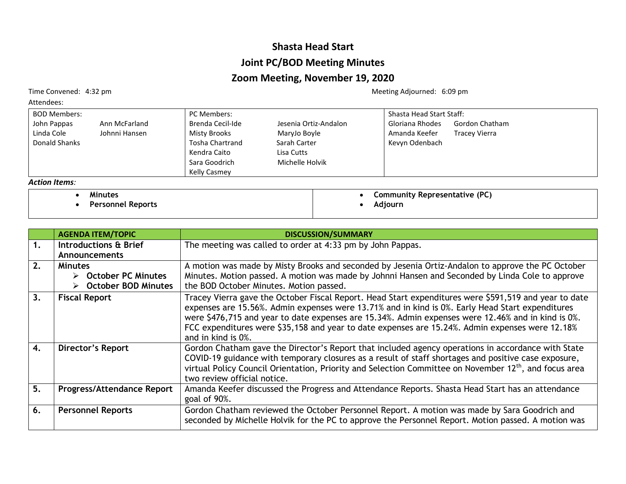## **Shasta Head Start Joint PC/BOD Meeting Minutes**

## **Zoom Meeting, November 19, 2020**

Attendees:

BOD Members: John Pappas Ann McFarland<br>Linda Cole Johnni Hansen Johnni Hansen Donald Shanks PC Members: Brenda Cecil-Ide Jesenia Ortiz-Andalon<br>Misty Brooks MaryJo Boyle MaryJo Boyle Tosha Chartrand Sarah Carter Kendra Caito Lisa Cutts Sara Goodrich Michelle Holvik Kelly Casmey Shasta Head Start Staff: Gloriana Rhodes Gordon Chatham Amanda Keefer Tracey Vierra Kevyn Odenbach *Action Items:* • **Community Representative (PC)**

| Minutes |  |
|---------|--|
|---------|--|

• **Personnel Reports**

|                | <b>AGENDA ITEM/TOPIC</b>                                                            | <b>DISCUSSION/SUMMARY</b>                                                                                                                                                                                                                                                                                                                                                                                                                |
|----------------|-------------------------------------------------------------------------------------|------------------------------------------------------------------------------------------------------------------------------------------------------------------------------------------------------------------------------------------------------------------------------------------------------------------------------------------------------------------------------------------------------------------------------------------|
| $\mathbf{1}$ . | Introductions & Brief<br><b>Announcements</b>                                       | The meeting was called to order at 4:33 pm by John Pappas.                                                                                                                                                                                                                                                                                                                                                                               |
| 2.             | <b>Minutes</b><br>$\triangleright$ October PC Minutes<br><b>October BOD Minutes</b> | A motion was made by Misty Brooks and seconded by Jesenia Ortiz-Andalon to approve the PC October<br>Minutes. Motion passed. A motion was made by Johnni Hansen and Seconded by Linda Cole to approve<br>the BOD October Minutes. Motion passed.                                                                                                                                                                                         |
| 3.             | <b>Fiscal Report</b>                                                                | Tracey Vierra gave the October Fiscal Report. Head Start expenditures were \$591,519 and year to date<br>expenses are 15.56%. Admin expenses were 13.71% and in kind is 0%. Early Head Start expenditures<br>were \$476,715 and year to date expenses are 15.34%. Admin expenses were 12.46% and in kind is 0%.<br>FCC expenditures were \$35,158 and year to date expenses are 15.24%. Admin expenses were 12.18%<br>and in kind is 0%. |
| 4.             | Director's Report                                                                   | Gordon Chatham gave the Director's Report that included agency operations in accordance with State<br>COVID-19 guidance with temporary closures as a result of staff shortages and positive case exposure,<br>virtual Policy Council Orientation, Priority and Selection Committee on November 12 <sup>th</sup> , and focus area<br>two review official notice.                                                                          |
| 5.             | <b>Progress/Attendance Report</b>                                                   | Amanda Keefer discussed the Progress and Attendance Reports. Shasta Head Start has an attendance<br>goal of 90%.                                                                                                                                                                                                                                                                                                                         |
| 6.             | <b>Personnel Reports</b>                                                            | Gordon Chatham reviewed the October Personnel Report. A motion was made by Sara Goodrich and<br>seconded by Michelle Holvik for the PC to approve the Personnel Report. Motion passed. A motion was                                                                                                                                                                                                                                      |

Time Convened: 4:32 pm and the Convened: 4:32 pm

• **Adjourn**